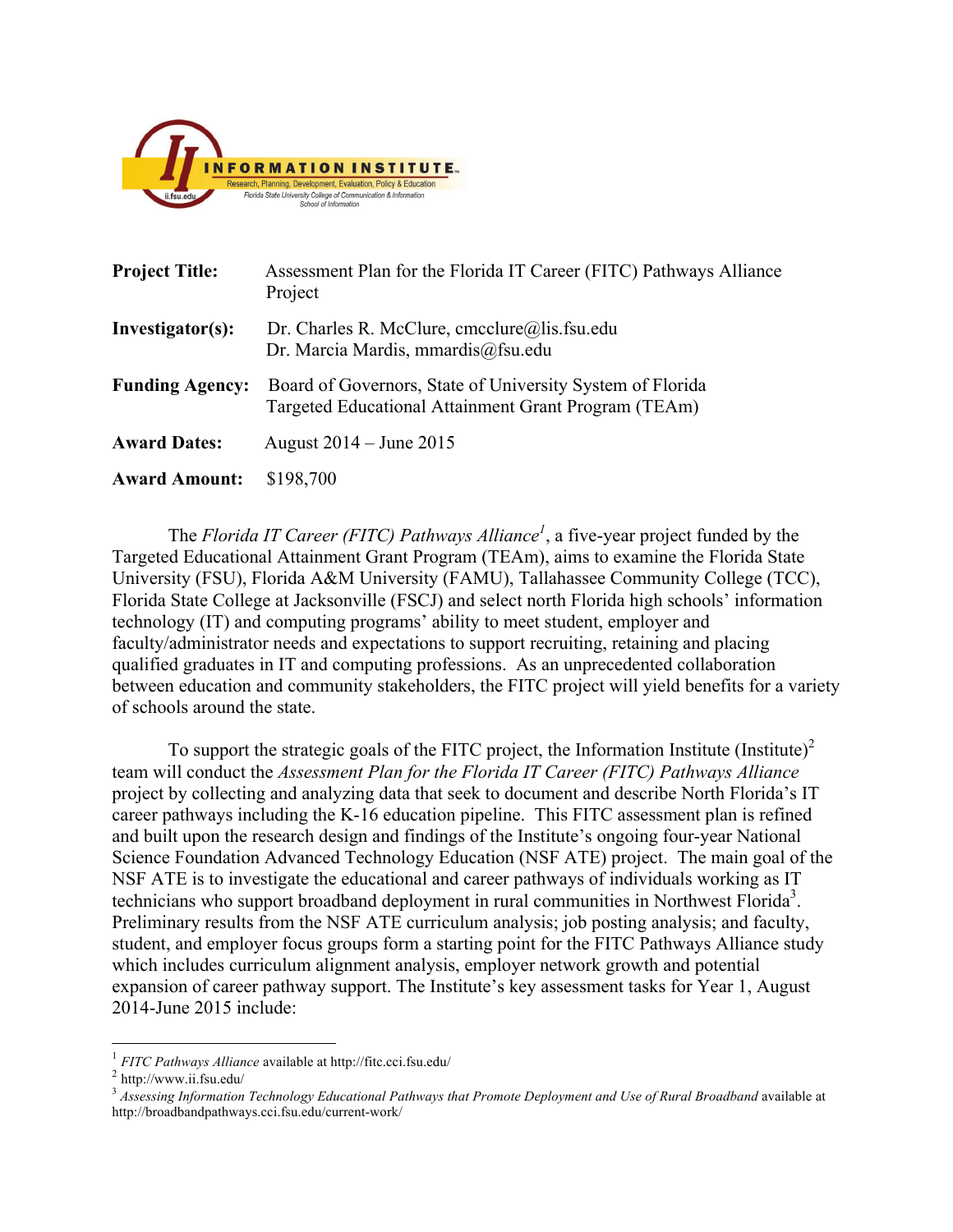

| <b>Project Title:</b>  | Assessment Plan for the Florida IT Career (FITC) Pathways Alliance<br>Project                                     |
|------------------------|-------------------------------------------------------------------------------------------------------------------|
| Investigator(s):       | Dr. Charles R. McClure, cmcclure@lis.fsu.edu<br>Dr. Marcia Mardis, mmardis@fsu.edu                                |
| <b>Funding Agency:</b> | Board of Governors, State of University System of Florida<br>Targeted Educational Attainment Grant Program (TEAm) |
| <b>Award Dates:</b>    | August $2014 -$ June $2015$                                                                                       |
| <b>Award Amount:</b>   | \$198,700                                                                                                         |

The *Florida IT Career (FITC) Pathways Alliance<sup>1</sup>*, a five-year project funded by the Targeted Educational Attainment Grant Program (TEAm), aims to examine the Florida State University (FSU), Florida A&M University (FAMU), Tallahassee Community College (TCC), Florida State College at Jacksonville (FSCJ) and select north Florida high schools' information technology (IT) and computing programs' ability to meet student, employer and faculty/administrator needs and expectations to support recruiting, retaining and placing qualified graduates in IT and computing professions. As an unprecedented collaboration between education and community stakeholders, the FITC project will yield benefits for a variety of schools around the state.

To support the strategic goals of the FITC project, the Information Institute (Institute)<sup>2</sup> team will conduct the *Assessment Plan for the Florida IT Career (FITC) Pathways Alliance* project by collecting and analyzing data that seek to document and describe North Florida's IT career pathways including the K-16 education pipeline. This FITC assessment plan is refined and built upon the research design and findings of the Institute's ongoing four-year National Science Foundation Advanced Technology Education (NSF ATE) project. The main goal of the NSF ATE is to investigate the educational and career pathways of individuals working as IT technicians who support broadband deployment in rural communities in Northwest Florida<sup>3</sup>. Preliminary results from the NSF ATE curriculum analysis; job posting analysis; and faculty, student, and employer focus groups form a starting point for the FITC Pathways Alliance study which includes curriculum alignment analysis, employer network growth and potential expansion of career pathway support. The Institute's key assessment tasks for Year 1, August 2014-June 2015 include:

<u> 1989 - Johann Stein, markin film yn y breninn y breninn y breninn y breninn y breninn y breninn y breninn y b</u>

<sup>1</sup> *FITC Pathways Alliance* available at http://fitc.cci.fsu.edu/

 $2$  http://www.ii.fsu.edu/

<sup>&</sup>lt;sup>3</sup> Assessing Information Technology Educational Pathways that Promote Deployment and Use of Rural Broadband available at http://broadbandpathways.cci.fsu.edu/current-work/